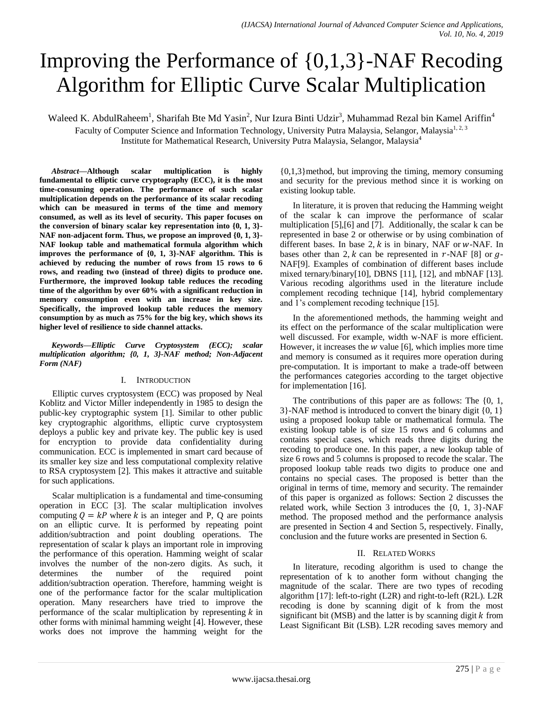# Improving the Performance of {0,1,3}-NAF Recoding Algorithm for Elliptic Curve Scalar Multiplication

Waleed K. AbdulRaheem<sup>1</sup>, Sharifah Bte Md Yasin<sup>2</sup>, Nur Izura Binti Udzir<sup>3</sup>, Muhammad Rezal bin Kamel Ariffin<sup>4</sup> Faculty of Computer Science and Information Technology, University Putra Malaysia, Selangor, Malaysia<sup>1, 2, 3</sup> Institute for Mathematical Research, University Putra Malaysia, Selangor, Malaysia<sup>4</sup>

*Abstract***—Although scalar multiplication is highly fundamental to elliptic curve cryptography (ECC), it is the most time-consuming operation. The performance of such scalar multiplication depends on the performance of its scalar recoding which can be measured in terms of the time and memory consumed, as well as its level of security. This paper focuses on the conversion of binary scalar key representation into {0, 1, 3}- NAF non-adjacent form. Thus, we propose an improved {0, 1, 3}- NAF lookup table and mathematical formula algorithm which improves the performance of {0, 1, 3}-NAF algorithm. This is achieved by reducing the number of rows from 15 rows to 6 rows, and reading two (instead of three) digits to produce one. Furthermore, the improved lookup table reduces the recoding time of the algorithm by over 60% with a significant reduction in memory consumption even with an increase in key size. Specifically, the improved lookup table reduces the memory consumption by as much as 75% for the big key, which shows its higher level of resilience to side channel attacks.**

*Keywords—Elliptic Curve Cryptosystem (ECC); scalar multiplication algorithm; {0, 1, 3}-NAF method; Non-Adjacent Form (NAF)*

#### I. INTRODUCTION

Elliptic curves cryptosystem (ECC) was proposed by Neal Koblitz and Victor Miller independently in 1985 to design the public-key cryptographic system [1]. Similar to other public key cryptographic algorithms, elliptic curve cryptosystem deploys a public key and private key. The public key is used for encryption to provide data confidentiality during communication. ECC is implemented in smart card because of its smaller key size and less computational complexity relative to RSA cryptosystem [2]. This makes it attractive and suitable for such applications.

Scalar multiplication is a fundamental and time-consuming operation in ECC [3]. The scalar multiplication involves computing  $Q = kP$  where k is an integer and P, Q are points on an elliptic curve. It is performed by repeating point addition/subtraction and point doubling operations. The representation of scalar k plays an important role in improving the performance of this operation. Hamming weight of scalar involves the number of the non-zero digits. As such, it determines the number of the required point addition/subtraction operation. Therefore, hamming weight is one of the performance factor for the scalar multiplication operation. Many researchers have tried to improve the performance of the scalar multiplication by representing  $k$  in other forms with minimal hamming weight [4]. However, these works does not improve the hamming weight for the

{0,1,3}method, but improving the timing, memory consuming and security for the previous method since it is working on existing lookup table.

In literature, it is proven that reducing the Hamming weight of the scalar k can improve the performance of scalar multiplication [5],[6] and [7]. Additionally, the scalar k can be represented in base 2 or otherwise or by using combination of different bases. In base 2,  $k$  is in binary, NAF or  $w$ -NAF. In bases other than 2, k can be represented in  $r$ -NAF [8] or  $q$ -NAF[9]. Examples of combination of different bases include mixed ternary/binary[10], DBNS [11], [12], and mbNAF [13]. Various recoding algorithms used in the literature include complement recoding technique [14], hybrid complementary and 1's complement recoding technique [15].

In the aforementioned methods, the hamming weight and its effect on the performance of the scalar multiplication were well discussed. For example, width w-NAF is more efficient. However, it increases the  $w$  value [6], which implies more time and memory is consumed as it requires more operation during pre-computation. It is important to make a trade-off between the performances categories according to the target objective for implementation [16].

The contributions of this paper are as follows: The {0, 1, 3}-NAF method is introduced to convert the binary digit {0, 1} using a proposed lookup table or mathematical formula. The existing lookup table is of size 15 rows and 6 columns and contains special cases, which reads three digits during the recoding to produce one. In this paper, a new lookup table of size 6 rows and 5 columns is proposed to recode the scalar. The proposed lookup table reads two digits to produce one and contains no special cases. The proposed is better than the original in terms of time, memory and security. The remainder of this paper is organized as follows: Section 2 discusses the related work, while Section 3 introduces the {0, 1, 3}-NAF method. The proposed method and the performance analysis are presented in Section 4 and Section 5, respectively. Finally, conclusion and the future works are presented in Section 6.

## II. RELATED WORKS

In literature, recoding algorithm is used to change the representation of k to another form without changing the magnitude of the scalar. There are two types of recoding algorithm [17]: left-to-right (L2R) and right-to-left (R2L). L2R recoding is done by scanning digit of k from the most significant bit ( $MSB$ ) and the latter is by scanning digit  $k$  from Least Significant Bit (LSB). L2R recoding saves memory and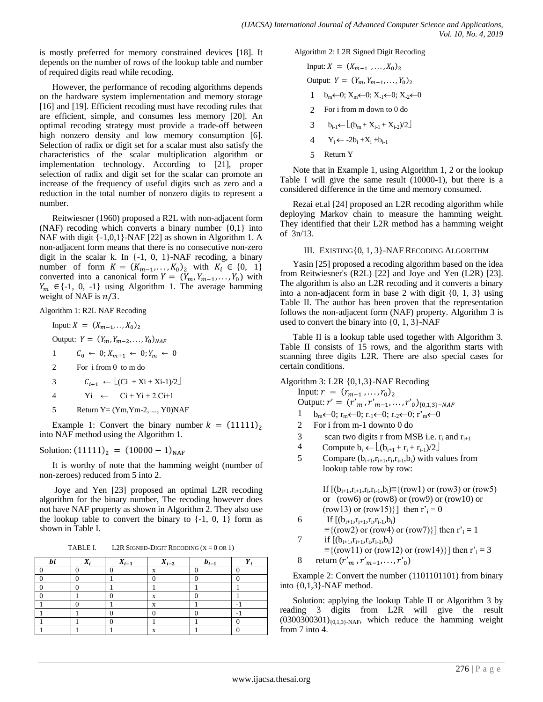is mostly preferred for memory constrained devices [18]. It depends on the number of rows of the lookup table and number of required digits read while recoding.

However, the performance of recoding algorithms depends on the hardware system implementation and memory storage [16] and [19]. Efficient recoding must have recoding rules that are efficient, simple, and consumes less memory [20]. An optimal recoding strategy must provide a trade-off between high nonzero density and low memory consumption [6]. Selection of radix or digit set for a scalar must also satisfy the characteristics of the scalar multiplication algorithm or implementation technology. According to [21], proper selection of radix and digit set for the scalar can promote an increase of the frequency of useful digits such as zero and a reduction in the total number of nonzero digits to represent a number.

Reitwiesner (1960) proposed a R2L with non-adjacent form (NAF) recoding which converts a binary number  $\{0,1\}$  into NAF with digit {-1,0,1}-NAF [22] as shown in Algorithm 1. A non-adjacent form means that there is no consecutive non-zero digit in the scalar k. In  $\{-1, 0, 1\}$ -NAF recoding, a binary number of form  $K = (K_{m-1},...,K_0)_2$  with  $K_i \in \{0, 1\}$ converted into a canonical form  $Y = (Y_m, Y_{m-1}, \ldots, Y_0)$  with  ${Y_m} \in \{-1, 0, -1\}$  using Algorithm 1. The average hamming weight of NAF is  $n/3$ .

Algorithm 1: R2L NAF Recoding

- Input:  $X = (X_{m-1},...,X_0)_2$ Output:  $Y = (Y_m, Y_{m-2}, ..., Y_0)_N$ 1  $C_0 \leftarrow 0; X_{m+1} \leftarrow 0; Y_m \leftarrow 0$
- 2 For i from 0 to m do
- 3  $C_{i+1} \leftarrow \lfloor (Ci + Xi + Xi-1)/2 \rfloor$
- 4  $yi \leftarrow Ci + Yi + 2.Ci+1$
- 5 Return  $Y = (Ym, Ym-2, ..., Y0)NAF$

Example 1: Convert the binary number  $k = (11111)$ , into NAF method using the Algorithm 1.

Solution:  $(11111)_2 = (10000 - 1)_{NAF}$ 

It is worthy of note that the hamming weight (number of non-zeroes) reduced from 5 into 2.

Joye and Yen [23] proposed an optimal L2R recoding algorithm for the binary number, The recoding however does not have NAF property as shown in Algorithm 2. They also use the lookup table to convert the binary to  $\{-1, 0, 1\}$  form as shown in Table I.

TABLE I. L2R SIGNED-DIGIT RECODING  $(X = 0 \text{ OR } 1)$ 

| bi | $\Lambda_i$ | $X_{i-1}$ | $X_{i-2}$ | $b_{i-1}$ |  |
|----|-------------|-----------|-----------|-----------|--|
|    |             |           |           |           |  |
|    |             |           |           |           |  |
|    |             |           |           |           |  |
|    |             |           |           |           |  |
|    |             |           |           |           |  |
|    |             |           |           |           |  |
|    |             |           |           |           |  |
|    |             |           |           |           |  |

Algorithm 2: L2R Signed Digit Recoding

Input: 
$$
X = (X_{m-1}, ..., X_0)_2
$$
  
\nOutput:  $Y = (Y_m, Y_{m-1}, ..., Y_0)_2$   
\n $1 \quad b_m \leftarrow 0; X_m \leftarrow 0; X_{-1} \leftarrow 0; X_{-2} \leftarrow 0$   
\n2 For i from m down to 0 do  
\n3  $b_{i-1} \leftarrow \lfloor (b_m + X_{i-1} + X_{i-2})/2 \rfloor$   
\n4  $Y_i \leftarrow -2b_i + X_i + b_{i-1}$ 

5 Return Y

Note that in Example 1, using Algorithm 1, 2 or the lookup Table I will give the same result (10000-1), but there is a considered difference in the time and memory consumed.

Rezai et.al [24] proposed an L2R recoding algorithm while deploying Markov chain to measure the hamming weight. They identified that their L2R method has a hamming weight of 3n/13.

## III. EXISTING{0, 1, 3}-NAF RECODING ALGORITHM

Yasin [25] proposed a recoding algorithm based on the idea from Reitwiesner's (R2L) [22] and Joye and Yen (L2R) [23]. The algorithm is also an L2R recoding and it converts a binary into a non-adjacent form in base 2 with digit {0, 1, 3} using Table II. The author has been proven that the representation follows the non-adjacent form (NAF) property. Algorithm 3 is used to convert the binary into  $\{0, 1, 3\}$ -NAF

Table II is a lookup table used together with Algorithm 3. Table II consists of 15 rows, and the algorithm starts with scanning three digits L2R. There are also special cases for certain conditions.

Algorithm 3: L2R {0,1,3}-NAF Recoding

Input: 
$$
r = (r_{m-1}, ..., r_0)_2
$$
  
\nOutput:  $r' = (r'_m, r'_{m-1}, ..., r'_0)_{\{0,1,3\}-NAR}$   
\n1 b<sub>m</sub> $\leftarrow$  0;  $r_m \leftarrow 0$ ;  $r_1 \leftarrow 0$ ;  $r_2 \leftarrow 0$ ;  $r'_m \leftarrow 0$   
\n2 For i from m-1 down to 0 do

- 2 For i from m-1 downto 0 do
- 3 scan two digits r from MSB i.e.  $r_i$  and  $r_{i+1}$
- 4 Compute  $b_i \leftarrow \lfloor (b_{i+1} + r_i + r_{i-1})/2 \rfloor$
- 5 Compare  $(b_{i+1}, r_{i+1}, r_i, r_{i-1}, b_i)$  with values from lookup table row by row:

If  $[(b_{i+1},r_{i+1},r_i,r_{i-1},b_i) \equiv \{(\text{row1}) \text{ or } (\text{row3}) \text{ or } (\text{row5})\}$ or  $(row6)$  or  $(row8)$  or  $(row9)$  or  $(row10)$  or (row13) or (row15). then  $r_i = 0$ 

- 6 If  $[(b_{i+1},r_{i+1},r_i,r_{i-1},b_i)]$  $\equiv$ {(row2) or (row4) or (row7)}] then r'<sub>i</sub> = 1 7 if  $[(b_{i+1},r_{i+1},r_i,r_{i-1},b_i)]$
- $\equiv$ {(row11) or (row12) or (row14)}] then r'<sub>i</sub> = 3 8 return  $(r'_m, r'_{m-1}, \ldots, r'_0)$

Example 2: Convert the number (1101101101) from binary into {0,1,3}-NAF method.

Solution: applying the lookup Table II or Algorithm 3 by reading 3 digits from L2R will give the result  $(0300300301)_{0,1,3}$ -NAF, which reduce the hamming weight from 7 into 4.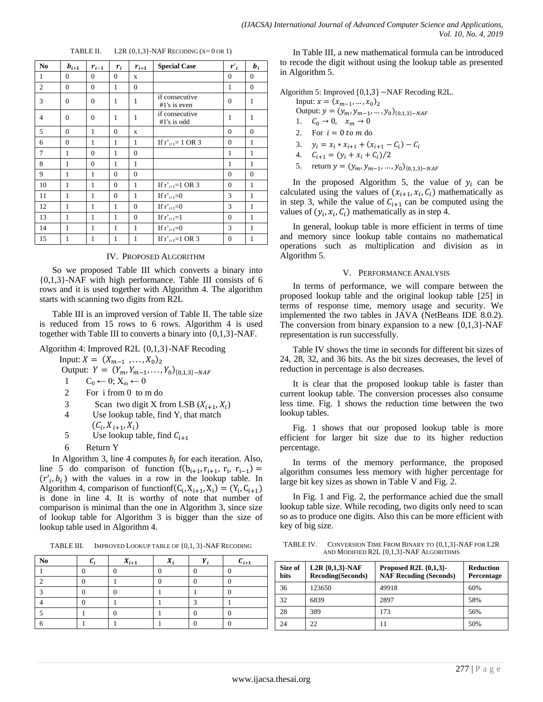| N <sub>0</sub> | $\boldsymbol{b}_{i+1}$ | $r_{i-1}$    | $r_i$        | $\boldsymbol{r}_{i+1}$ | <b>Special Case</b>            | $r_i$        | $b_i$          |
|----------------|------------------------|--------------|--------------|------------------------|--------------------------------|--------------|----------------|
| 1              | $\Omega$               | $\Omega$     | $\mathbf{0}$ | X                      |                                | $\mathbf{0}$ | $\overline{0}$ |
| 2              | $\theta$               | $\mathbf{0}$ | 1            | $\overline{0}$         |                                | 1            | $\overline{0}$ |
| 3              | $\mathbf{0}$           | $\mathbf{0}$ | 1            | $\mathbf{1}$           | if consecutive<br>#1's is even | $\theta$     | 1              |
| $\overline{4}$ | $\theta$               | $\mathbf{0}$ | $\mathbf{1}$ | $\mathbf{1}$           | if consecutive<br>#1's is odd  | 1            | 1              |
| 5              | $\Omega$               | $\mathbf{1}$ | $\mathbf{0}$ | X                      |                                | $\mathbf{0}$ | $\mathbf{0}$   |
| 6              | $\mathbf{0}$           | 1            | 1            | 1                      | If $r'_{i+1} = 1$ OR 3         | $\theta$     | 1              |
| 7              | 1                      | $\theta$     | 1            | $\theta$               |                                | 1            | 1              |
| 8              | 1                      | $\mathbf{0}$ | 1            | 1                      |                                | 1            | 1              |
| 9              | 1                      | $\mathbf{1}$ | $\mathbf{0}$ | $\overline{0}$         |                                | $\theta$     | $\theta$       |
| 10             | 1                      | $\mathbf{1}$ | $\mathbf{0}$ | $\mathbf{1}$           | If $r'_{i+1}=1$ OR 3           | $\mathbf{0}$ | 1              |
| 11             | $\mathbf{1}$           | $\mathbf{1}$ | $\mathbf{0}$ | $\mathbf{1}$           | If $r_{i+1}=0$                 | 3            | $\mathbf{1}$   |
| 12             | 1                      | $\mathbf{1}$ | 1            | $\overline{0}$         | If $r_{i+1}=0$                 | 3            | 1              |
| 13             | 1                      | $\mathbf{1}$ | 1            | $\Omega$               | If $r'_{i+1}=1$                | $\Omega$     | 1              |
| 14             | 1                      | $\mathbf{1}$ | $\mathbf{1}$ | $\mathbf{1}$           | If $r'_{i+1}=0$                | 3            | 1              |
| 15             | 1                      | $\mathbf{1}$ | 1            | 1                      | If $r_{i+1}=1$ OR 3            | $\mathbf{0}$ | 1              |

TABLE II.  $L2R \{0,1,3\}$ -NAF RECODING  $(X=0 \text{ OR } 1)$ 

#### IV. PROPOSED ALGORITHM

So we proposed Table III which converts a binary into {0,1,3}-NAF with high performance. Table III consists of 6 rows and it is used together with Algorithm 4. The algorithm starts with scanning two digits from R2L

Table III is an improved version of Table II. The table size is reduced from 15 rows to 6 rows. Algorithm 4 is used together with Table III to converts a binary into {0,1,3}-NAF.

Algorithm 4: Improved R2L {0,1,3}-NAF Recoding

Input:  $X = (X_{m-1}, ..., X_0)_2$ 

Output:  $Y = (Y_m, Y_{m-1}, \ldots, Y_0)_{\{0,1,3\}^-}$ 

1  $C_0 \leftarrow 0; X_m \leftarrow 0$ 

- 2 For i from 0 to m do
- 3 Scan two digit X from LSB  $(X_{i+1}, X_i)$
- 4 Use lookup table, find  $Y_i$  that match

$$
(C_i, X_{i+1}, X_i)
$$

- 5 Use lookup table, find  $C_{i+1}$
- 6 Return Y

In Algorithm 3, line 4 computes  $b_i$  for each iteration. Also, line 5 do comparison of function  $f(b_{i+1}, r_{i+1}, r_i, r_{i-1}) =$  $(r'_i, b_i)$  with the values in a row in the lookup table. In Algorithm 4, comparison of functionf( $C_i$ ,  $X_{i+1}$ ,  $X_i$ ) = ( $Y_i$ ,  $C_{i+1}$ ) is done in line 4. It is worthy of note that number of comparison is minimal than the one in Algorithm 3, since size of lookup table for Algorithm 3 is bigger than the size of lookup table used in Algorithm 4.

TABLE III. IMPROVED LOOKUP TABLE OF {0,1, 3}-NAF RECODING

| No | $X_{i+1}$ |   | $c_{i+1}$ |
|----|-----------|---|-----------|
|    |           |   |           |
|    |           |   |           |
|    |           |   |           |
|    |           | ⌒ |           |
|    |           |   |           |
|    |           |   |           |

In Table III, a new mathematical formula can be introduced to recode the digit without using the lookup table as presented in Algorithm 5.

Algorithm 5: Improved  ${0,1,3}$  -NAF Recoding R2L.

Input:  $x = (x_{m-1}, ..., x_0)_2$ Output:  $y = (y_m, y_{m-1}, ..., y_0)_{\{0,1,3\}^-}$ 1.  $C_0 \to 0$ ,  $x_m \to 0$ 2. For  $i = 0$  to m do

- 3.  $y_i = x_i * x_{i+1} + (x_{i+1} C_i) -$
- 4.  $C_{i+1} = (y_i + x_i + C_i)/2$
- 5. return  $y = (y_m, y_{m-1}, ..., y_0)_{\{0,1,3\}^-}$

In the proposed Algorithm 5, the value of  $y_i$  can be calculated using the values of  $(x_{i+1}, x_i, C_i)$  mathematically as in step 3, while the value of  $C_{i+1}$  can be computed using the values of  $(y_i, x_i, C_i)$  mathematically as in step 4.

In general, lookup table is more efficient in terms of time and memory since lookup table contains no mathematical operations such as multiplication and division as in Algorithm 5.

#### V. PERFORMANCE ANALYSIS

In terms of performance, we will compare between the proposed lookup table and the original lookup table [25] in terms of response time, memory usage and security. We implemented the two tables in JAVA (NetBeans IDE 8.0.2). The conversion from binary expansion to a new  $\{0,1,3\}$ -NAF representation is run successfully.

Table IV shows the time in seconds for different bit sizes of 24, 28, 32, and 36 bits. As the bit sizes decreases, the level of reduction in percentage is also decreases.

It is clear that the proposed lookup table is faster than current lookup table. The conversion processes also consume less time. Fig. 1 shows the reduction time between the two lookup tables.

Fig. 1 shows that our proposed lookup table is more efficient for larger bit size due to its higher reduction percentage.

In terms of the memory performance, the proposed algorithm consumes less memory with higher percentage for large bit key sizes as shown in Table V and Fig. 2.

In Fig. 1 and Fig. 2, the performance achied due the small lookup table size. While recoding, two digits only need to scan so as to produce one digits. Also this can be more efficient with key of big size.

TABLE IV. CONVERSION TIME FROM BINARY TO {0,1,3}-NAF FOR L2R AND MODIFIED R2L {0,1,3}-NAF ALGORITHMS

| Size of<br><b>bits</b> | $L2R$ {0,1,3}-NAF<br><b>Recoding(Seconds)</b> | Proposed R2L $\{0,1,3\}$ -<br><b>NAF Recoding (Seconds)</b> | <b>Reduction</b><br>Percentage |
|------------------------|-----------------------------------------------|-------------------------------------------------------------|--------------------------------|
| 36                     | 123650                                        | 49918                                                       | 60%                            |
| 32                     | 6839                                          | 2897                                                        | 58%                            |
| 28                     | 389                                           | 173                                                         | 56%                            |
| 24                     | 22                                            | 11                                                          | 50%                            |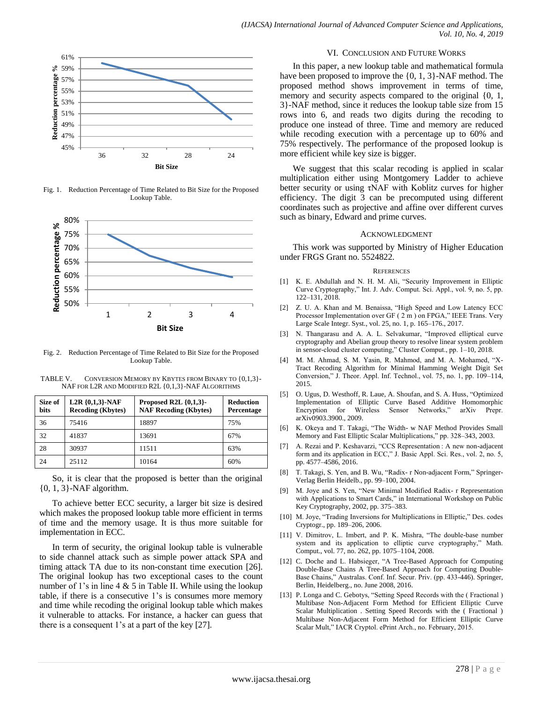

Fig. 1. Reduction Percentage of Time Related to Bit Size for the Proposed Lookup Table.



Fig. 2. Reduction Percentage of Time Related to Bit Size for the Proposed Lookup Table.

TABLE V. CONVERSION MEMORY BY KBYTES FROM BINARY TO {0,1,3}- NAF FOR L2R AND MODIFIED R2L {0,1,3}-NAF ALGORITHMS

| Size of<br>bits | $L2R$ {0,1,3}-NAF<br><b>Recoding (Kbytes)</b> | Proposed R2L $\{0,1,3\}$ -<br><b>NAF Recoding (Kbytes)</b> | <b>Reduction</b><br>Percentage |
|-----------------|-----------------------------------------------|------------------------------------------------------------|--------------------------------|
| 36              | 75416                                         | 18897                                                      | 75%                            |
| 32              | 41837                                         | 13691                                                      | 67%                            |
| 28              | 30937                                         | 11511                                                      | 63%                            |
| 24              | 25112                                         | 10164                                                      | 60%                            |

So, it is clear that the proposed is better than the original  $\{0, 1, 3\}$ -NAF algorithm.

To achieve better ECC security, a larger bit size is desired which makes the proposed lookup table more efficient in terms of time and the memory usage. It is thus more suitable for implementation in ECC.

In term of security, the original lookup table is vulnerable to side channel attack such as simple power attack SPA and timing attack TA due to its non-constant time execution [26]. The original lookup has two exceptional cases to the count number of 1's in line 4 & 5 in Table II. While using the lookup table, if there is a consecutive 1's is consumes more memory and time while recoding the original lookup table which makes it vulnerable to attacks. For instance, a hacker can guess that there is a consequent 1's at a part of the key [27].

#### VI. CONCLUSION AND FUTURE WORKS

In this paper, a new lookup table and mathematical formula have been proposed to improve the {0, 1, 3}-NAF method. The proposed method shows improvement in terms of time, memory and security aspects compared to the original  $\{0, 1, \ldots\}$ 3}-NAF method, since it reduces the lookup table size from 15 rows into 6, and reads two digits during the recoding to produce one instead of three. Time and memory are reduced while recoding execution with a percentage up to 60% and 75% respectively. The performance of the proposed lookup is more efficient while key size is bigger.

We suggest that this scalar recoding is applied in scalar multiplication either using Montgomery Ladder to achieve better security or using τNAF with Koblitz curves for higher efficiency. The digit 3 can be precomputed using different coordinates such as projective and affine over different curves such as binary, Edward and prime curves.

#### ACKNOWLEDGMENT

This work was supported by Ministry of Higher Education under FRGS Grant no. 5524822.

#### **REFERENCES**

- [1] K. E. Abdullah and N. H. M. Ali, "Security Improvement in Elliptic Curve Cryptography," Int. J. Adv. Comput. Sci. Appl., vol. 9, no. 5, pp. 122–131, 2018.
- [2] Z. U. A. Khan and M. Benaissa, "High Speed and Low Latency ECC Processor Implementation over GF ( 2 m ) on FPGA," IEEE Trans. Very Large Scale Integr. Syst., vol. 25, no. 1, p. 165–176., 2017.
- [3] N. Thangarasu and A. A. L. Selvakumar, "Improved elliptical curve cryptography and Abelian group theory to resolve linear system problem in sensor-cloud cluster computing," Cluster Comput., pp. 1–10, 2018.
- M. M. Ahmad, S. M. Yasin, R. Mahmod, and M. A. Mohamed, "X-Tract Recoding Algorithm for Minimal Hamming Weight Digit Set Conversion," J. Theor. Appl. Inf. Technol., vol. 75, no. 1, pp. 109–114, 2015.
- [5] O. Ugus, D. Westhoff, R. Laue, A. Shoufan, and S. A. Huss, "Optimized Implementation of Elliptic Curve Based Additive Homomorphic Sensor Networks," arXiv Prepr. arXiv0903.3900., 2009.
- [6] K. Okeya and T. Takagi, "The Width- w NAF Method Provides Small Memory and Fast Elliptic Scalar Multiplications," pp. 328–343, 2003.
- [7] A. Rezai and P. Keshavarzi, "CCS Representation : A new non-adjacent form and its application in ECC," J. Basic Appl. Sci. Res., vol. 2, no. 5, pp. 4577–4586, 2016.
- [8] T. Takagi, S. Yen, and B. Wu, "Radix- r Non-adjacent Form," Springer-Verlag Berlin Heidelb., pp. 99–100, 2004.
- [9] M. Joye and S. Yen, "New Minimal Modified Radix- r Representation with Applications to Smart Cards," in International Workshop on Public Key Cryptography, 2002, pp. 375–383.
- [10] M. Joye, "Trading Inversions for Multiplications in Elliptic," Des. codes Cryptogr., pp. 189–206, 2006.
- [11] V. Dimitrov, L. Imbert, and P. K. Mishra, "The double-base number system and its application to elliptic curve cryptography," Math. Comput., vol. 77, no. 262, pp. 1075–1104, 2008.
- [12] C. Doche and L. Habsieger, "A Tree-Based Approach for Computing Double-Base Chains A Tree-Based Approach for Computing Double-Base Chains," Australas. Conf. Inf. Secur. Priv. (pp. 433-446). Springer, Berlin, Heidelberg., no. June 2008, 2016.
- [13] P. Longa and C. Gebotys, "Setting Speed Records with the (Fractional) Multibase Non-Adjacent Form Method for Efficient Elliptic Curve Scalar Multiplication . Setting Speed Records with the ( Fractional ) Multibase Non-Adjacent Form Method for Efficient Elliptic Curve Scalar Mult," IACR Cryptol. ePrint Arch., no. February, 2015.